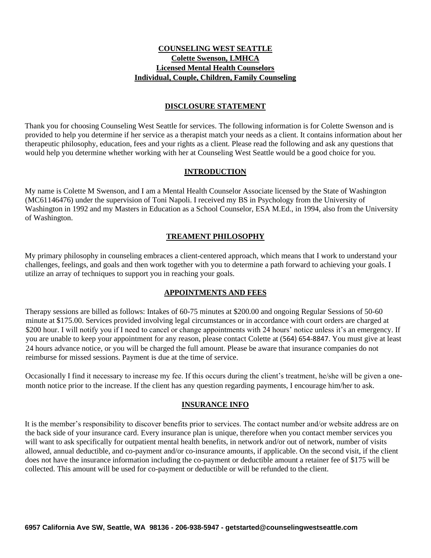# **COUNSELING WEST SEATTLE Colette Swenson, LMHCA Licensed Mental Health Counselors Individual, Couple, Children, Family Counseling**

## **DISCLOSURE STATEMENT**

Thank you for choosing Counseling West Seattle for services. The following information is for Colette Swenson and is provided to help you determine if her service as a therapist match your needs as a client. It contains information about her therapeutic philosophy, education, fees and your rights as a client. Please read the following and ask any questions that would help you determine whether working with her at Counseling West Seattle would be a good choice for you.

#### **INTRODUCTION**

My name is Colette M Swenson, and I am a Mental Health Counselor Associate licensed by the State of Washington (MC61146476) under the supervision of Toni Napoli. I received my BS in Psychology from the University of Washington in 1992 and my Masters in Education as a School Counselor, ESA M.Ed., in 1994, also from the University of Washington.

## **TREAMENT PHILOSOPHY**

My primary philosophy in counseling embraces a client-centered approach, which means that I work to understand your challenges, feelings, and goals and then work together with you to determine a path forward to achieving your goals. I utilize an array of techniques to support you in reaching your goals.

# **APPOINTMENTS AND FEES**

Therapy sessions are billed as follows: Intakes of 60-75 minutes at \$200.00 and ongoing Regular Sessions of 50-60 minute at \$175.00. Services provided involving legal circumstances or in accordance with court orders are charged at \$200 hour. I will notify you if I need to cancel or change appointments with 24 hours' notice unless it's an emergency. If you are unable to keep your appointment for any reason, please contact Colette at (564) 654-8847. You must give at least 24 hours advance notice, or you will be charged the full amount. Please be aware that insurance companies do not reimburse for missed sessions. Payment is due at the time of service.

Occasionally I find it necessary to increase my fee. If this occurs during the client's treatment, he/she will be given a onemonth notice prior to the increase. If the client has any question regarding payments, I encourage him/her to ask.

#### **INSURANCE INFO**

It is the member's responsibility to discover benefits prior to services. The contact number and/or website address are on the back side of your insurance card. Every insurance plan is unique, therefore when you contact member services you will want to ask specifically for outpatient mental health benefits, in network and/or out of network, number of visits allowed, annual deductible, and co-payment and/or co-insurance amounts, if applicable. On the second visit, if the client does not have the insurance information including the co-payment or deductible amount a retainer fee of \$175 will be collected. This amount will be used for co-payment or deductible or will be refunded to the client.